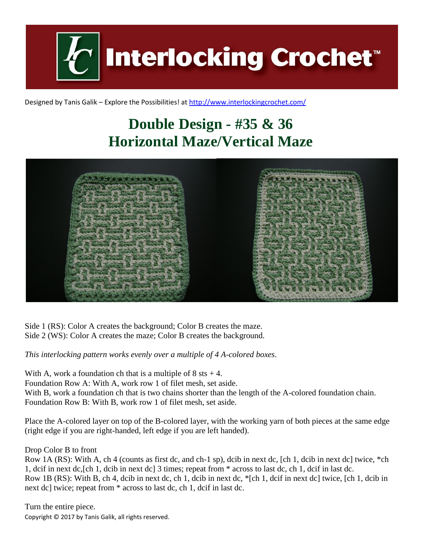**Interlocking Crochet** 

Designed by Tanis Galik – Explore the Possibilities! a[t http://www.interlockingcrochet.com/](http://www.interlockingcrochet.com/)

## **Double Design - #35 & 36 Horizontal Maze/Vertical Maze**



Side 1 (RS): Color A creates the background; Color B creates the maze. Side 2 (WS): Color A creates the maze; Color B creates the background.

*This interlocking pattern works evenly over a multiple of 4 A-colored boxes.*

With A, work a foundation ch that is a multiple of  $8$  sts  $+4$ . Foundation Row A: With A, work row 1 of filet mesh, set aside. With B, work a foundation ch that is two chains shorter than the length of the A-colored foundation chain. Foundation Row B: With B, work row 1 of filet mesh, set aside.

Place the A-colored layer on top of the B-colored layer, with the working yarn of both pieces at the same edge (right edge if you are right-handed, left edge if you are left handed).

Drop Color B to front

Row 1A (RS): With A, ch 4 (counts as first dc, and ch-1 sp), dcib in next dc, [ch 1, dcib in next dc] twice, \*ch 1, dcif in next dc,[ch 1, dcib in next dc] 3 times; repeat from \* across to last dc, ch 1, dcif in last dc. Row 1B (RS): With B, ch 4, dcib in next dc, ch 1, dcib in next dc, \*[ch 1, dcif in next dc] twice, [ch 1, dcib in next dc] twice; repeat from \* across to last dc, ch 1, dcif in last dc.

Copyright © 2017 by Tanis Galik, all rights reserved. Turn the entire piece.